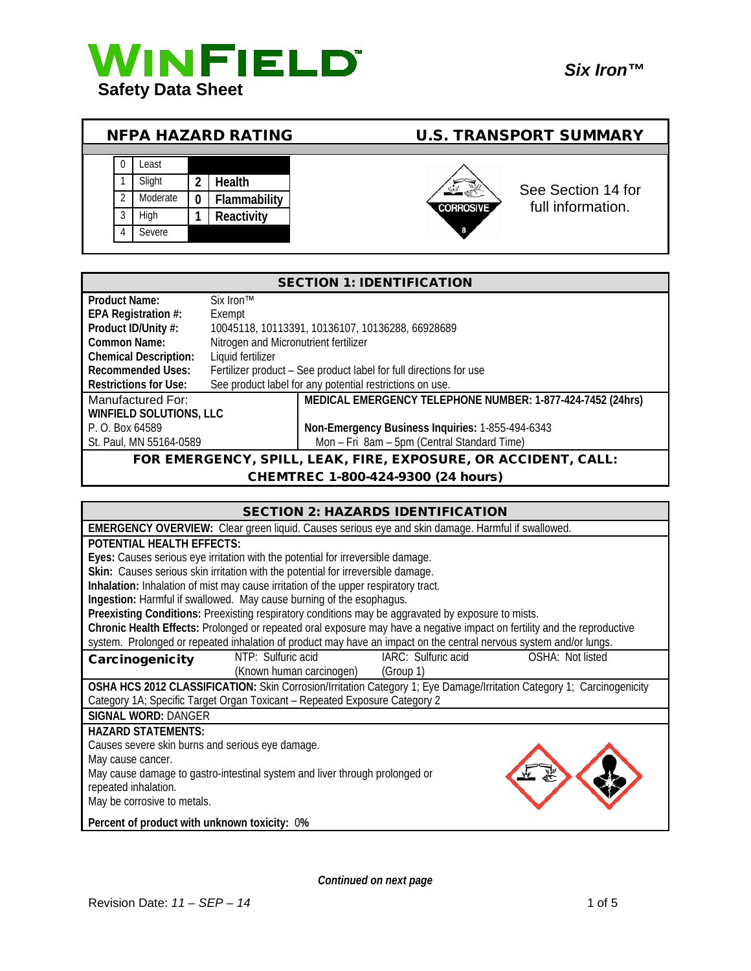

|  |          |   | <b>NFPA HAZARD RATING</b> | <b>U.S. TRANSPORT SUMMARY</b>         |
|--|----------|---|---------------------------|---------------------------------------|
|  |          |   |                           |                                       |
|  | ∟east    |   |                           |                                       |
|  | Slight   | 2 | Health                    | 750<br>See Section 14 for             |
|  | Moderate | 0 | Flammability              | full information.<br><b>CORROSIVE</b> |
|  | High     |   | Reactivity                |                                       |
|  | Severe   |   |                           |                                       |

| <b>SECTION 1: IDENTIFICATION</b>                               |                                       |                                                                    |  |
|----------------------------------------------------------------|---------------------------------------|--------------------------------------------------------------------|--|
| <b>Product Name:</b>                                           | Six Iron™                             |                                                                    |  |
| EPA Registration #:                                            | Exempt                                |                                                                    |  |
| Product ID/Unity #:                                            |                                       | 10045118, 10113391, 10136107, 10136288, 66928689                   |  |
| Common Name:                                                   | Nitrogen and Micronutrient fertilizer |                                                                    |  |
| <b>Chemical Description:</b><br>Liquid fertilizer              |                                       |                                                                    |  |
| <b>Recommended Uses:</b>                                       |                                       | Fertilizer product - See product label for full directions for use |  |
| <b>Restrictions for Use:</b>                                   |                                       | See product label for any potential restrictions on use.           |  |
| Manufactured For:                                              |                                       | MEDICAL EMERGENCY TELEPHONE NUMBER: 1-877-424-7452 (24hrs)         |  |
| <b>WINFIELD SOLUTIONS, LLC</b>                                 |                                       |                                                                    |  |
| P. O. Box 64589                                                |                                       | Non-Emergency Business Inquiries: 1-855-494-6343                   |  |
| St. Paul, MN 55164-0589                                        |                                       | Mon - Fri 8am - 5pm (Central Standard Time)                        |  |
| FOR EMERGENCY, SPILL, LEAK, FIRE, EXPOSURE, OR ACCIDENT, CALL: |                                       |                                                                    |  |

## CHEMTREC 1-800-424-9300 (24 hours)

| <b>SECTION 2: HAZARDS IDENTIFICATION</b>                                                                                 |  |  |  |  |
|--------------------------------------------------------------------------------------------------------------------------|--|--|--|--|
| <b>EMERGENCY OVERVIEW:</b> Clear green liquid. Causes serious eye and skin damage. Harmful if swallowed.                 |  |  |  |  |
| POTENTIAL HEALTH FEFECTS:                                                                                                |  |  |  |  |
| Eyes: Causes serious eye irritation with the potential for irreversible damage.                                          |  |  |  |  |
| Skin: Causes serious skin irritation with the potential for irreversible damage.                                         |  |  |  |  |
| Inhalation: Inhalation of mist may cause irritation of the upper respiratory tract.                                      |  |  |  |  |
| Ingestion: Harmful if swallowed. May cause burning of the esophagus.                                                     |  |  |  |  |
| Preexisting Conditions: Preexisting respiratory conditions may be aggravated by exposure to mists.                       |  |  |  |  |
| Chronic Health Effects: Prolonged or repeated oral exposure may have a negative impact on fertility and the reproductive |  |  |  |  |
| system. Prolonged or repeated inhalation of product may have an impact on the central nervous system and/or lungs.       |  |  |  |  |
| NTP: Sulfuric acid<br>IARC: Sulfuric acid<br>OSHA: Not listed<br>Carcinogenicity                                         |  |  |  |  |
| (Known human carcinogen) (Group 1)                                                                                       |  |  |  |  |
| OSHA HCS 2012 CLASSIFICATION: Skin Corrosion/Irritation Category 1; Eye Damage/Irritation Category 1; Carcinogenicity    |  |  |  |  |
| Category 1A; Specific Target Organ Toxicant - Repeated Exposure Category 2                                               |  |  |  |  |
| <b>SIGNAL WORD: DANGER</b>                                                                                               |  |  |  |  |
| <b>HAZARD STATEMENTS:</b>                                                                                                |  |  |  |  |
| Causes severe skin burns and serious eye damage.                                                                         |  |  |  |  |
| May cause cancer.                                                                                                        |  |  |  |  |
| May cause damage to gastro-intestinal system and liver through prolonged or                                              |  |  |  |  |
| repeated inhalation.                                                                                                     |  |  |  |  |
| May be corrosive to metals.                                                                                              |  |  |  |  |
| Percent of product with unknown toxicity: 0%                                                                             |  |  |  |  |

*Continued on next page*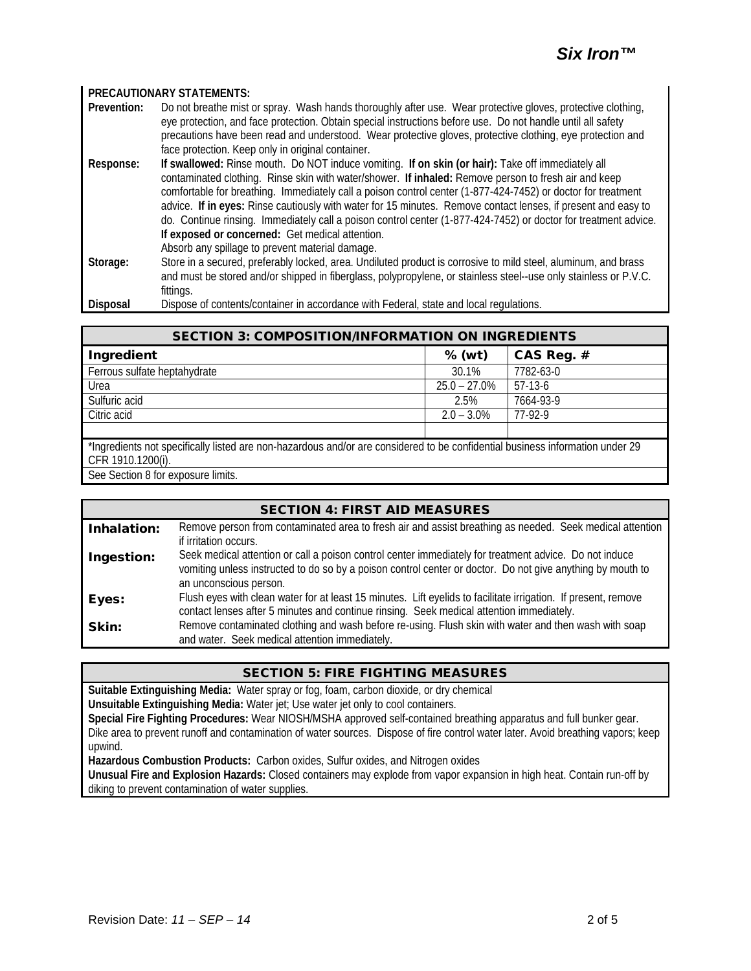#### **PRECAUTIONARY STATEMENTS:**

| Prevention:     | Do not breathe mist or spray. Wash hands thoroughly after use. Wear protective gloves, protective clothing,<br>eye protection, and face protection. Obtain special instructions before use. Do not handle until all safety<br>precautions have been read and understood. Wear protective gloves, protective clothing, eye protection and |
|-----------------|------------------------------------------------------------------------------------------------------------------------------------------------------------------------------------------------------------------------------------------------------------------------------------------------------------------------------------------|
|                 | face protection. Keep only in original container.                                                                                                                                                                                                                                                                                        |
| Response:       | If swallowed: Rinse mouth. Do NOT induce vomiting. If on skin (or hair): Take off immediately all                                                                                                                                                                                                                                        |
|                 | contaminated clothing. Rinse skin with water/shower. If inhaled: Remove person to fresh air and keep                                                                                                                                                                                                                                     |
|                 | comfortable for breathing. Immediately call a poison control center (1-877-424-7452) or doctor for treatment                                                                                                                                                                                                                             |
|                 | advice. If in eyes: Rinse cautiously with water for 15 minutes. Remove contact lenses, if present and easy to                                                                                                                                                                                                                            |
|                 | do. Continue rinsing. Immediately call a poison control center (1-877-424-7452) or doctor for treatment advice.                                                                                                                                                                                                                          |
|                 | If exposed or concerned: Get medical attention.                                                                                                                                                                                                                                                                                          |
|                 | Absorb any spillage to prevent material damage.                                                                                                                                                                                                                                                                                          |
| Storage:        | Store in a secured, preferably locked, area. Undiluted product is corrosive to mild steel, aluminum, and brass                                                                                                                                                                                                                           |
|                 | and must be stored and/or shipped in fiberglass, polypropylene, or stainless steel--use only stainless or P.V.C.                                                                                                                                                                                                                         |
|                 | fittings.                                                                                                                                                                                                                                                                                                                                |
| <b>Disposal</b> | Dispose of contents/container in accordance with Federal, state and local regulations.                                                                                                                                                                                                                                                   |

| <b>SECTION 3: COMPOSITION/INFORMATION ON INGREDIENTS</b>                                                                      |                 |            |  |  |
|-------------------------------------------------------------------------------------------------------------------------------|-----------------|------------|--|--|
| Ingredient                                                                                                                    | $%$ (wt)        | CAS Reg. # |  |  |
| Ferrous sulfate heptahydrate                                                                                                  | 30.1%           | 7782-63-0  |  |  |
| Urea                                                                                                                          | $25.0 - 27.0\%$ | $57-13-6$  |  |  |
| Sulfuric acid                                                                                                                 | 2.5%            | 7664-93-9  |  |  |
| Citric acid                                                                                                                   | $2.0 - 3.0\%$   | 77-92-9    |  |  |
|                                                                                                                               |                 |            |  |  |
| *Ingredients not specifically listed are non-hazardous and/or are considered to be confidential business information under 29 |                 |            |  |  |
| CFR 1910.1200(i).                                                                                                             |                 |            |  |  |
| See Section 8 for exposure limits.                                                                                            |                 |            |  |  |

| <b>SECTION 4: FIRST AID MEASURES</b> |                                                                                                                                                                                                                                                |  |  |
|--------------------------------------|------------------------------------------------------------------------------------------------------------------------------------------------------------------------------------------------------------------------------------------------|--|--|
| Inhalation:                          | Remove person from contaminated area to fresh air and assist breathing as needed. Seek medical attention<br>if irritation occurs.                                                                                                              |  |  |
| Ingestion:                           | Seek medical attention or call a poison control center immediately for treatment advice. Do not induce<br>vomiting unless instructed to do so by a poison control center or doctor. Do not give anything by mouth to<br>an unconscious person. |  |  |
| Eyes:                                | Flush eyes with clean water for at least 15 minutes. Lift eyelids to facilitate irrigation. If present, remove<br>contact lenses after 5 minutes and continue rinsing. Seek medical attention immediately.                                     |  |  |
| Skin:                                | Remove contaminated clothing and wash before re-using. Flush skin with water and then wash with soap<br>and water. Seek medical attention immediately.                                                                                         |  |  |

# SECTION 5: FIRE FIGHTING MEASURES

**Suitable Extinguishing Media:** Water spray or fog, foam, carbon dioxide, or dry chemical **Unsuitable Extinguishing Media:** Water jet; Use water jet only to cool containers. **Special Fire Fighting Procedures:** Wear NIOSH/MSHA approved self-contained breathing apparatus and full bunker gear. Dike area to prevent runoff and contamination of water sources. Dispose of fire control water later. Avoid breathing vapors; keep upwind.

**Hazardous Combustion Products:** Carbon oxides, Sulfur oxides, and Nitrogen oxides

**Unusual Fire and Explosion Hazards:** Closed containers may explode from vapor expansion in high heat. Contain run-off by diking to prevent contamination of water supplies.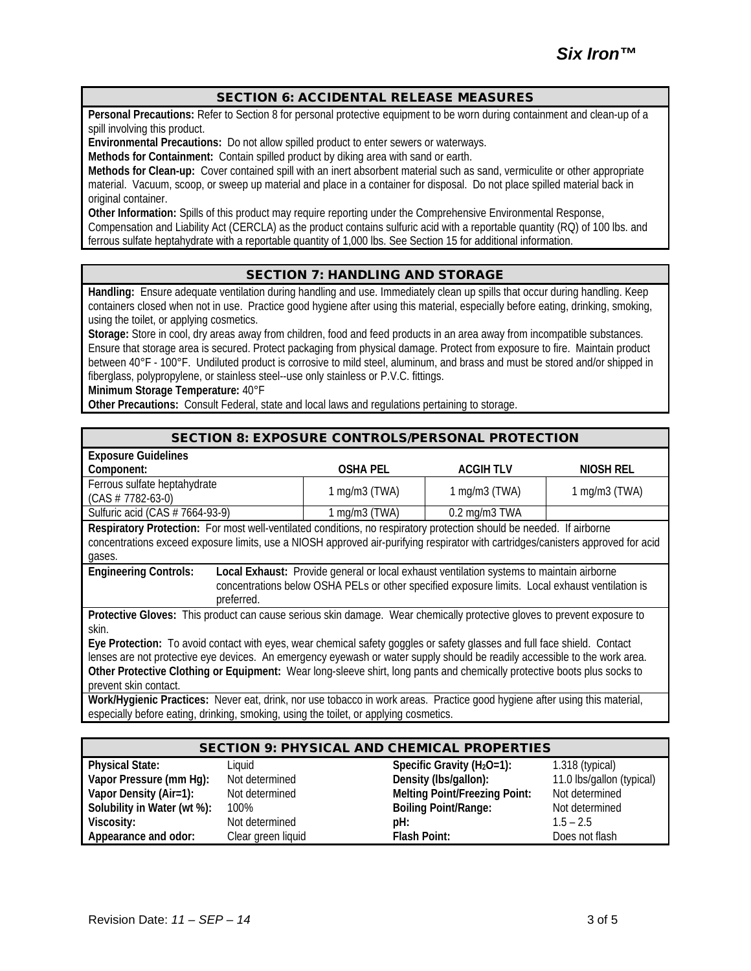# SECTION 6: ACCIDENTAL RELEASE MEASURES

**Personal Precautions:** Refer to Section 8 for personal protective equipment to be worn during containment and clean-up of a spill involving this product.

**Environmental Precautions:** Do not allow spilled product to enter sewers or waterways.

**Methods for Containment:** Contain spilled product by diking area with sand or earth.

**Methods for Clean-up:** Cover contained spill with an inert absorbent material such as sand, vermiculite or other appropriate material. Vacuum, scoop, or sweep up material and place in a container for disposal. Do not place spilled material back in original container.

**Other Information:** Spills of this product may require reporting under the Comprehensive Environmental Response, Compensation and Liability Act (CERCLA) as the product contains sulfuric acid with a reportable quantity (RQ) of 100 lbs. and ferrous sulfate heptahydrate with a reportable quantity of 1,000 lbs. See Section 15 for additional information.

## SECTION 7: HANDLING AND STORAGE

**Handling:** Ensure adequate ventilation during handling and use. Immediately clean up spills that occur during handling. Keep containers closed when not in use. Practice good hygiene after using this material, especially before eating, drinking, smoking, using the toilet, or applying cosmetics.

**Storage:** Store in cool, dry areas away from children, food and feed products in an area away from incompatible substances. Ensure that storage area is secured. Protect packaging from physical damage. Protect from exposure to fire. Maintain product between 40°F - 100°F. Undiluted product is corrosive to mild steel, aluminum, and brass and must be stored and/or shipped in fiberglass, polypropylene, or stainless steel--use only stainless or P.V.C. fittings.

#### **Minimum Storage Temperature:** 40°F

**Other Precautions:** Consult Federal, state and local laws and regulations pertaining to storage.

| <b>SECTION 8: EXPOSURE CONTROLS/PERSONAL PROTECTION</b>                                                                                                                                                                                                                                                                                                                                                                                                                                                                                         |                  |                    |                  |
|-------------------------------------------------------------------------------------------------------------------------------------------------------------------------------------------------------------------------------------------------------------------------------------------------------------------------------------------------------------------------------------------------------------------------------------------------------------------------------------------------------------------------------------------------|------------------|--------------------|------------------|
| <b>Exposure Guidelines</b>                                                                                                                                                                                                                                                                                                                                                                                                                                                                                                                      |                  |                    |                  |
| Component:                                                                                                                                                                                                                                                                                                                                                                                                                                                                                                                                      | <b>OSHA PEL</b>  | <b>ACGIHTLV</b>    | NIOSH REL        |
| Ferrous sulfate heptahydrate<br>$(CAS # 7782-63-0)$                                                                                                                                                                                                                                                                                                                                                                                                                                                                                             | 1 mg/m3 (TWA)    | $1$ mg/m $3$ (TWA) | 1 mg/m $3$ (TWA) |
| Sulfuric acid (CAS # 7664-93-9)                                                                                                                                                                                                                                                                                                                                                                                                                                                                                                                 | 1 mg/m $3$ (TWA) | 0.2 mg/m3 TWA      |                  |
| Respiratory Protection: For most well-ventilated conditions, no respiratory protection should be needed. If airborne<br>concentrations exceed exposure limits, use a NIOSH approved air-purifying respirator with cartridges/canisters approved for acid<br>gases.                                                                                                                                                                                                                                                                              |                  |                    |                  |
| <b>Engineering Controls:</b><br>Local Exhaust: Provide general or local exhaust ventilation systems to maintain airborne<br>concentrations below OSHA PELs or other specified exposure limits. Local exhaust ventilation is<br>preferred.                                                                                                                                                                                                                                                                                                       |                  |                    |                  |
| Protective Gloves: This product can cause serious skin damage. Wear chemically protective gloves to prevent exposure to<br>skin.<br>Eye Protection: To avoid contact with eyes, wear chemical safety goggles or safety glasses and full face shield. Contact<br>lenses are not protective eye devices. An emergency eyewash or water supply should be readily accessible to the work area.<br>Other Protective Clothing or Equipment: Wear long-sleeve shirt, long pants and chemically protective boots plus socks to<br>prevent skin contact. |                  |                    |                  |
| Work/Hygianic Dractices: Never eat drink nor use to bacco in work areas. Dractice good hygiene after using this material                                                                                                                                                                                                                                                                                                                                                                                                                        |                  |                    |                  |

 $\,$  in work areas. Practice good hygiene after using this material, especially before eating, drinking, smoking, using the toilet, or applying cosmetics.

| <b>SECTION 9: PHYSICAL AND CHEMICAL PROPERTIES</b> |                    |                                      |                           |  |
|----------------------------------------------------|--------------------|--------------------------------------|---------------------------|--|
| <b>Physical State:</b>                             | Liauid             | Specific Gravity ( $H_2O=1$ ):       | $1.318$ (typical)         |  |
| Vapor Pressure (mm Hg):                            | Not determined     | Density (Ibs/gallon):                | 11.0 lbs/gallon (typical) |  |
| Vapor Density (Air=1):                             | Not determined     | <b>Melting Point/Freezing Point:</b> | Not determined            |  |
| Solubility in Water (wt %):                        | 100%               | <b>Boiling Point/Range:</b>          | Not determined            |  |
| Viscosity:                                         | Not determined     | pH:                                  | $1.5 - 2.5$               |  |
| Appearance and odor:                               | Clear green liquid | Flash Point:                         | Does not flash            |  |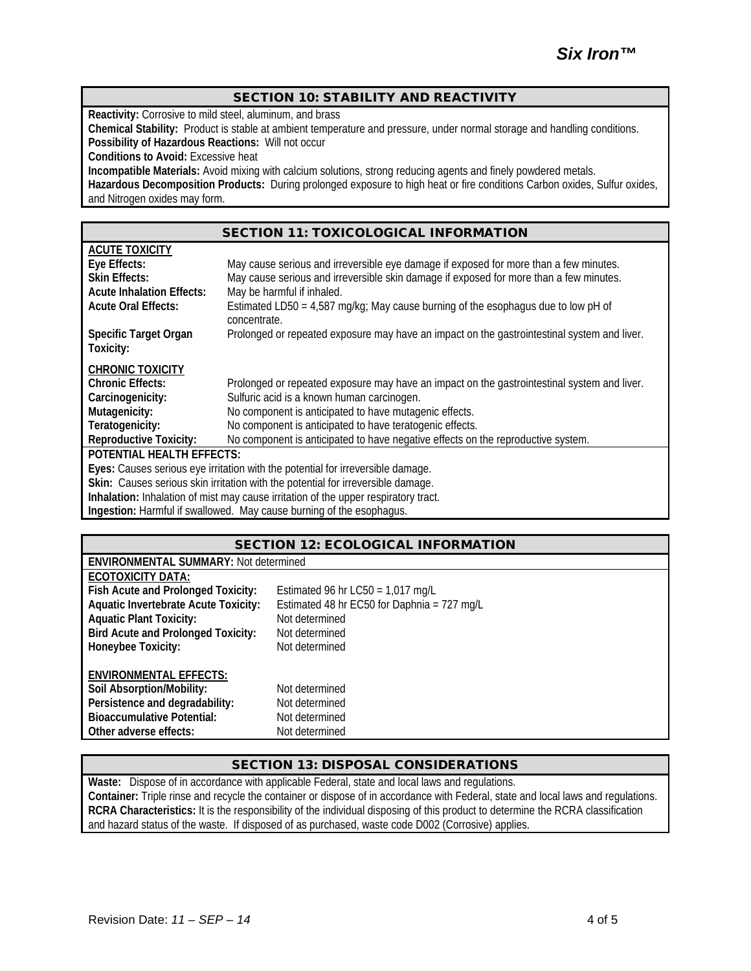# SECTION 10: STABILITY AND REACTIVITY

**Reactivity:** Corrosive to mild steel, aluminum, and brass **Chemical Stability:** Product is stable at ambient temperature and pressure, under normal storage and handling conditions. **Possibility of Hazardous Reactions:** Will not occur **Conditions to Avoid:** Excessive heat **Incompatible Materials:** Avoid mixing with calcium solutions, strong reducing agents and finely powdered metals. **Hazardous Decomposition Products:** During prolonged exposure to high heat or fire conditions Carbon oxides, Sulfur oxides,

and Nitrogen oxides may form.

## SECTION 11: TOXICOLOGICAL INFORMATION

| <b>ACUTE TOXICITY</b>                                                               |                                                                                                   |  |  |  |
|-------------------------------------------------------------------------------------|---------------------------------------------------------------------------------------------------|--|--|--|
| Eye Effects:                                                                        | May cause serious and irreversible eye damage if exposed for more than a few minutes.             |  |  |  |
| <b>Skin Effects:</b>                                                                | May cause serious and irreversible skin damage if exposed for more than a few minutes.            |  |  |  |
| <b>Acute Inhalation Effects:</b>                                                    | May be harmful if inhaled.                                                                        |  |  |  |
| <b>Acute Oral Effects:</b>                                                          | Estimated LD50 = 4,587 mg/kg; May cause burning of the esophagus due to low pH of<br>concentrate. |  |  |  |
| <b>Specific Target Organ</b><br>Toxicity:                                           | Prolonged or repeated exposure may have an impact on the gastrointestinal system and liver.       |  |  |  |
| <b>CHRONIC TOXICITY</b>                                                             |                                                                                                   |  |  |  |
| <b>Chronic Effects:</b>                                                             | Prolonged or repeated exposure may have an impact on the gastrointestinal system and liver.       |  |  |  |
| Carcinogenicity:                                                                    | Sulfuric acid is a known human carcinogen.                                                        |  |  |  |
| Mutagenicity:                                                                       | No component is anticipated to have mutagenic effects.                                            |  |  |  |
| Teratogenicity:                                                                     | No component is anticipated to have teratogenic effects.                                          |  |  |  |
| <b>Reproductive Toxicity:</b>                                                       | No component is anticipated to have negative effects on the reproductive system.                  |  |  |  |
| <b>POTENTIAL HEALTH EFFECTS:</b>                                                    |                                                                                                   |  |  |  |
| Eyes: Causes serious eye irritation with the potential for irreversible damage.     |                                                                                                   |  |  |  |
| Skin: Causes serious skin irritation with the potential for irreversible damage.    |                                                                                                   |  |  |  |
| Inhalation: Inhalation of mist may cause irritation of the upper respiratory tract. |                                                                                                   |  |  |  |
| Ingestion: Harmful if swallowed. May cause burning of the esophagus.                |                                                                                                   |  |  |  |

# SECTION 12: ECOLOGICAL INFORMATION **ENVIRONMENTAL SUMMARY:** Not determined

| <b>ECOTOXICITY DATA:</b>                    |                                             |
|---------------------------------------------|---------------------------------------------|
| Fish Acute and Prolonged Toxicity:          | Estimated 96 hr LC50 = $1,017$ mg/L         |
| <b>Aquatic Invertebrate Acute Toxicity:</b> | Estimated 48 hr EC50 for Daphnia = 727 mg/L |
| <b>Aquatic Plant Toxicity:</b>              | Not determined                              |
| <b>Bird Acute and Prolonged Toxicity:</b>   | Not determined                              |
| Honeybee Toxicity:                          | Not determined                              |
| <b>ENVIRONMENTAL EFFECTS:</b>               |                                             |
| Soil Absorption/Mobility:                   | Not determined                              |
| Persistence and degradability:              | Not determined                              |
| <b>Bioaccumulative Potential:</b>           | Not determined                              |
| Other adverse effects:                      | Not determined                              |

# SECTION 13: DISPOSAL CONSIDERATIONS

**Waste:** Dispose of in accordance with applicable Federal, state and local laws and regulations. **Container:** Triple rinse and recycle the container or dispose of in accordance with Federal, state and local laws and regulations. **RCRA Characteristics:** It is the responsibility of the individual disposing of this product to determine the RCRA classification and hazard status of the waste. If disposed of as purchased, waste code D002 (Corrosive) applies.